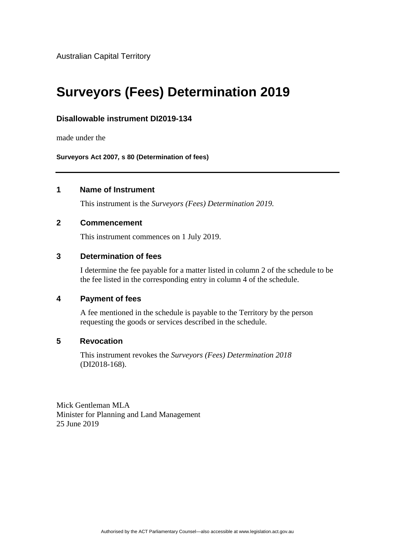Australian Capital Territory

# **Surveyors (Fees) Determination 2019**

# **Disallowable instrument DI2019-134**

made under the

**Surveyors Act 2007***,* **s 80 (Determination of fees)**

# **1 Name of Instrument**

This instrument is the *Surveyors (Fees) Determination 2019.*

## **2 Commencement**

This instrument commences on 1 July 2019.

### **3 Determination of fees**

I determine the fee payable for a matter listed in column 2 of the schedule to be the fee listed in the corresponding entry in column 4 of the schedule.

### **4 Payment of fees**

A fee mentioned in the schedule is payable to the Territory by the person requesting the goods or services described in the schedule.

### **5 Revocation**

This instrument revokes the *Surveyors (Fees) Determination 2018* (DI2018-168).

Mick Gentleman MLA Minister for Planning and Land Management 25 June 2019